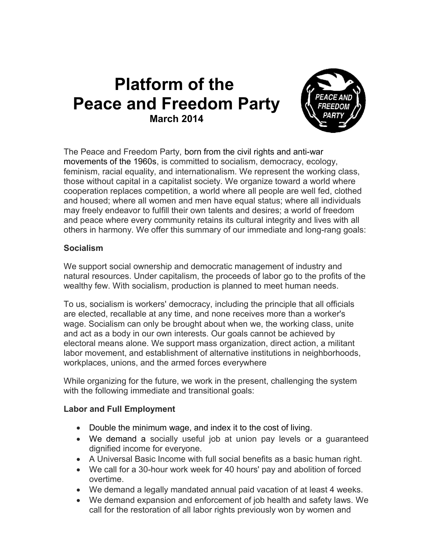# **Platform of the Peace and Freedom Party March 2014**



The Peace and Freedom Party, born from the civil rights and anti-war movements of the 1960s, is committed to socialism, democracy, ecology, feminism, racial equality, and internationalism. We represent the working class, those without capital in a capitalist society. We organize toward a world where cooperation replaces competition, a world where all people are well fed, clothed and housed; where all women and men have equal status; where all individuals may freely endeavor to fulfill their own talents and desires; a world of freedom and peace where every community retains its cultural integrity and lives with all others in harmony. We offer this summary of our immediate and long-rang goals:

## **Socialism**

We support social ownership and democratic management of industry and natural resources. Under capitalism, the proceeds of labor go to the profits of the wealthy few. With socialism, production is planned to meet human needs.

To us, socialism is workers' democracy, including the principle that all officials are elected, recallable at any time, and none receives more than a worker's wage. Socialism can only be brought about when we, the working class, unite and act as a body in our own interests. Our goals cannot be achieved by electoral means alone. We support mass organization, direct action, a militant labor movement, and establishment of alternative institutions in neighborhoods, workplaces, unions, and the armed forces everywhere

While organizing for the future, we work in the present, challenging the system with the following immediate and transitional goals:

### **Labor and Full Employment**

- Double the minimum wage, and index it to the cost of living.
- We demand a socially useful job at union pay levels or a guaranteed dignified income for everyone.
- A Universal Basic Income with full social benefits as a basic human right.
- We call for a 30-hour work week for 40 hours' pay and abolition of forced overtime.
- We demand a legally mandated annual paid vacation of at least 4 weeks.
- We demand expansion and enforcement of job health and safety laws. We call for the restoration of all labor rights previously won by women and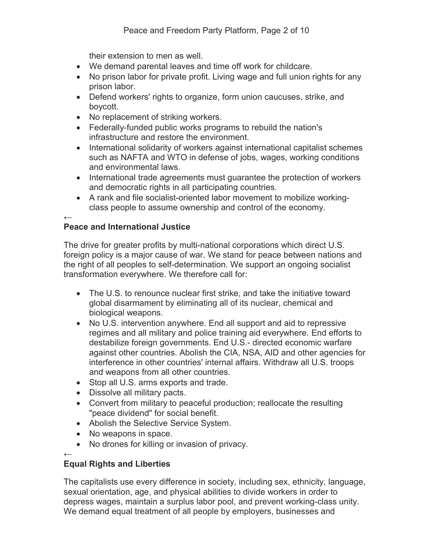their extension to men as well.

- We demand parental leaves and time off work for childcare.
- No prison labor for private profit. Living wage and full union rights for any prison labor.
- Defend workers' rights to organize, form union caucuses, strike, and boycott.
- No replacement of striking workers.
- Federally-funded public works programs to rebuild the nation's infrastructure and restore the environment.
- International solidarity of workers against international capitalist schemes such as NAFTA and WTO in defense of jobs, wages, working conditions and environmental laws.
- International trade agreements must guarantee the protection of workers and democratic rights in all participating countries.
- A rank and file socialist-oriented labor movement to mobilize workingclass people to assume ownership and control of the economy.

### ← **Peace and International Justice**

The drive for greater profits by multi-national corporations which direct U.S. foreign policy is a major cause of war. We stand for peace between nations and the right of all peoples to self-determination. We support an ongoing socialist transformation everywhere. We therefore call for:

- The U.S. to renounce nuclear first strike, and take the initiative toward global disarmament by eliminating all of its nuclear, chemical and biological weapons.
- No U.S. intervention anywhere. End all support and aid to repressive regimes and all military and police training aid everywhere. End efforts to destabilize foreign governments. End U.S.- directed economic warfare against other countries. Abolish the CIA, NSA, AID and other agencies for interference in other countries' internal affairs. Withdraw all U.S. troops and weapons from all other countries.
- Stop all U.S. arms exports and trade.
- Dissolve all military pacts.
- Convert from military to peaceful production; reallocate the resulting "peace dividend" for social benefit.
- Abolish the Selective Service System.
- No weapons in space.
- No drones for killing or invasion of privacy.

### ← **Equal Rights and Liberties**

The capitalists use every difference in society, including sex, ethnicity, language, sexual orientation, age, and physical abilities to divide workers in order to depress wages, maintain a surplus labor pool, and prevent working-class unity. We demand equal treatment of all people by employers, businesses and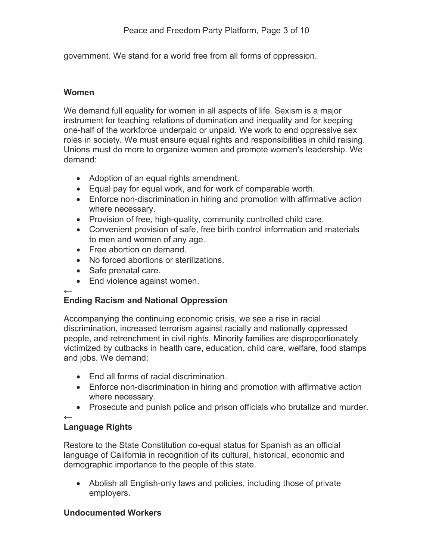government. We stand for a world free from all forms of oppression.

## **Women**

We demand full equality for women in all aspects of life. Sexism is a major instrument for teaching relations of domination and inequality and for keeping one-half of the workforce underpaid or unpaid. We work to end oppressive sex roles in society. We must ensure equal rights and responsibilities in child raising. Unions must do more to organize women and promote women's leadership. We demand:

- Adoption of an equal rights amendment.
- Equal pay for equal work, and for work of comparable worth.
- Enforce non-discrimination in hiring and promotion with affirmative action where necessary.
- Provision of free, high-quality, community controlled child care.
- Convenient provision of safe, free birth control information and materials to men and women of any age.
- Free abortion on demand.
- No forced abortions or sterilizations.
- Safe prenatal care.
- End violence against women.

### ← **Ending Racism and National Oppression**

Accompanying the continuing economic crisis, we see a rise in racial discrimination, increased terrorism against racially and nationally oppressed people, and retrenchment in civil rights. Minority families are disproportionately victimized by cutbacks in health care, education, child care, welfare, food stamps and jobs. We demand:

- End all forms of racial discrimination.
- Enforce non-discrimination in hiring and promotion with affirmative action where necessary.
- Prosecute and punish police and prison officials who brutalize and murder.

#### ← **Language Rights**

Restore to the State Constitution co-equal status for Spanish as an official language of California in recognition of its cultural, historical, economic and demographic importance to the people of this state.

 Abolish all English-only laws and policies, including those of private employers.

# **Undocumented Workers**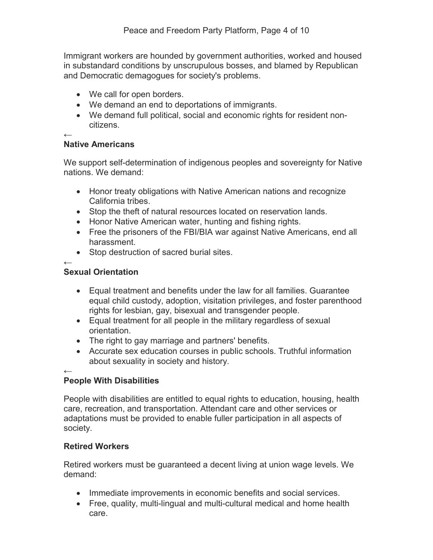Immigrant workers are hounded by government authorities, worked and housed in substandard conditions by unscrupulous bosses, and blamed by Republican and Democratic demagogues for society's problems.

- We call for open borders.
- We demand an end to deportations of immigrants.
- We demand full political, social and economic rights for resident noncitizens.

←

### **Native Americans**

We support self-determination of indigenous peoples and sovereignty for Native nations. We demand:

- Honor treaty obligations with Native American nations and recognize California tribes.
- Stop the theft of natural resources located on reservation lands.
- Honor Native American water, hunting and fishing rights.
- Free the prisoners of the FBI/BIA war against Native Americans, end all harassment.
- Stop destruction of sacred burial sites.

←

## **Sexual Orientation**

- Equal treatment and benefits under the law for all families. Guarantee equal child custody, adoption, visitation privileges, and foster parenthood rights for lesbian, gay, bisexual and transgender people.
- Equal treatment for all people in the military regardless of sexual orientation.
- The right to gay marriage and partners' benefits.
- Accurate sex education courses in public schools. Truthful information about sexuality in society and history.

### ← **People With Disabilities**

People with disabilities are entitled to equal rights to education, housing, health care, recreation, and transportation. Attendant care and other services or adaptations must be provided to enable fuller participation in all aspects of society.

# **Retired Workers**

Retired workers must be guaranteed a decent living at union wage levels. We demand:

- Immediate improvements in economic benefits and social services.
- Free, quality, multi-lingual and multi-cultural medical and home health care.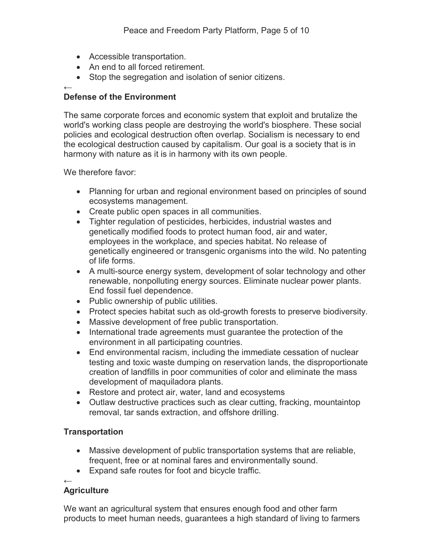- Accessible transportation.
- An end to all forced retirement.
- Stop the segregation and isolation of senior citizens.

### ← **Defense of the Environment**

The same corporate forces and economic system that exploit and brutalize the world's working class people are destroying the world's biosphere. These social policies and ecological destruction often overlap. Socialism is necessary to end the ecological destruction caused by capitalism. Our goal is a society that is in harmony with nature as it is in harmony with its own people.

We therefore favor:

- Planning for urban and regional environment based on principles of sound ecosystems management.
- Create public open spaces in all communities.
- Tighter regulation of pesticides, herbicides, industrial wastes and genetically modified foods to protect human food, air and water, employees in the workplace, and species habitat. No release of genetically engineered or transgenic organisms into the wild. No patenting of life forms.
- A multi-source energy system, development of solar technology and other renewable, nonpolluting energy sources. Eliminate nuclear power plants. End fossil fuel dependence.
- Public ownership of public utilities.
- Protect species habitat such as old-growth forests to preserve biodiversity.
- Massive development of free public transportation.
- International trade agreements must guarantee the protection of the environment in all participating countries.
- End environmental racism, including the immediate cessation of nuclear testing and toxic waste dumping on reservation lands, the disproportionate creation of landfills in poor communities of color and eliminate the mass development of maquiladora plants.
- Restore and protect air, water, land and ecosystems
- Outlaw destructive practices such as clear cutting, fracking, mountaintop removal, tar sands extraction, and offshore drilling.

# **Transportation**

- Massive development of public transportation systems that are reliable, frequent, free or at nominal fares and environmentally sound.
- Expand safe routes for foot and bicycle traffic.

# ←

# **Agriculture**

We want an agricultural system that ensures enough food and other farm products to meet human needs, guarantees a high standard of living to farmers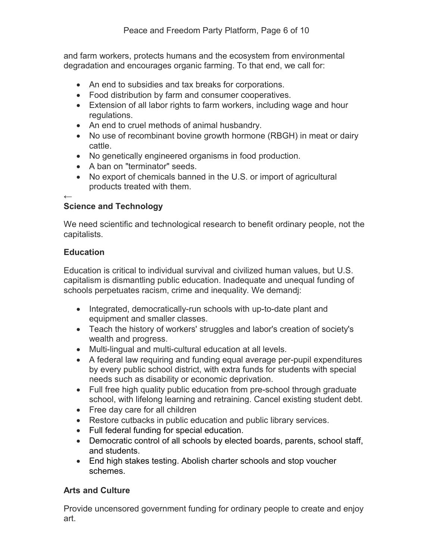and farm workers, protects humans and the ecosystem from environmental degradation and encourages organic farming. To that end, we call for:

- An end to subsidies and tax breaks for corporations.
- Food distribution by farm and consumer cooperatives.
- Extension of all labor rights to farm workers, including wage and hour regulations.
- An end to cruel methods of animal husbandry.
- No use of recombinant bovine growth hormone (RBGH) in meat or dairy cattle.
- No genetically engineered organisms in food production.
- A ban on "terminator" seeds.
- No export of chemicals banned in the U.S. or import of agricultural products treated with them.

### ← **Science and Technology**

We need scientific and technological research to benefit ordinary people, not the capitalists.

# **Education**

Education is critical to individual survival and civilized human values, but U.S. capitalism is dismantling public education. Inadequate and unequal funding of schools perpetuates racism, crime and inequality. We demandj:

- Integrated, democratically-run schools with up-to-date plant and equipment and smaller classes.
- Teach the history of workers' struggles and labor's creation of society's wealth and progress.
- Multi-lingual and multi-cultural education at all levels.
- A federal law requiring and funding equal average per-pupil expenditures by every public school district, with extra funds for students with special needs such as disability or economic deprivation.
- Full free high quality public education from pre-school through graduate school, with lifelong learning and retraining. Cancel existing student debt.
- Free day care for all children
- Restore cutbacks in public education and public library services.
- Full federal funding for special education.
- Democratic control of all schools by elected boards, parents, school staff, and students.
- End high stakes testing. Abolish charter schools and stop voucher schemes.

# **Arts and Culture**

Provide uncensored government funding for ordinary people to create and enjoy art.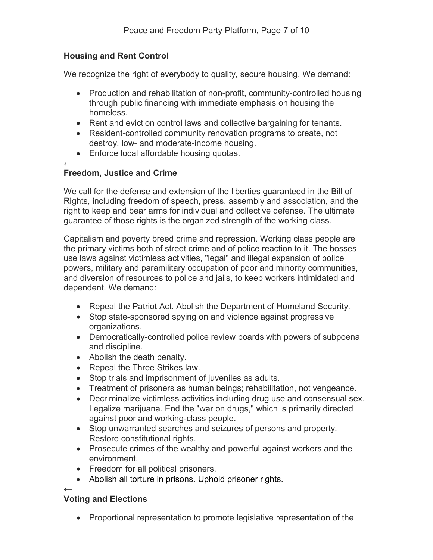# **Housing and Rent Control**

We recognize the right of everybody to quality, secure housing. We demand:

- Production and rehabilitation of non-profit, community-controlled housing through public financing with immediate emphasis on housing the homeless.
- Rent and eviction control laws and collective bargaining for tenants.
- Resident-controlled community renovation programs to create, not destroy, low- and moderate-income housing.
- Enforce local affordable housing quotas.
- ←

### **Freedom, Justice and Crime**

We call for the defense and extension of the liberties guaranteed in the Bill of Rights, including freedom of speech, press, assembly and association, and the right to keep and bear arms for individual and collective defense. The ultimate guarantee of those rights is the organized strength of the working class.

Capitalism and poverty breed crime and repression. Working class people are the primary victims both of street crime and of police reaction to it. The bosses use laws against victimless activities, "legal" and illegal expansion of police powers, military and paramilitary occupation of poor and minority communities, and diversion of resources to police and jails, to keep workers intimidated and dependent. We demand:

- Repeal the Patriot Act. Abolish the Department of Homeland Security.
- Stop state-sponsored spying on and violence against progressive organizations.
- Democratically-controlled police review boards with powers of subpoena and discipline.
- Abolish the death penalty.
- Repeal the Three Strikes law.
- Stop trials and imprisonment of juveniles as adults.
- Treatment of prisoners as human beings; rehabilitation, not vengeance.
- Decriminalize victimless activities including drug use and consensual sex. Legalize marijuana. End the "war on drugs," which is primarily directed against poor and working-class people.
- Stop unwarranted searches and seizures of persons and property. Restore constitutional rights.
- Prosecute crimes of the wealthy and powerful against workers and the environment.
- Freedom for all political prisoners.
- Abolish all torture in prisons. Uphold prisoner rights.

#### ← **Voting and Elections**

• Proportional representation to promote legislative representation of the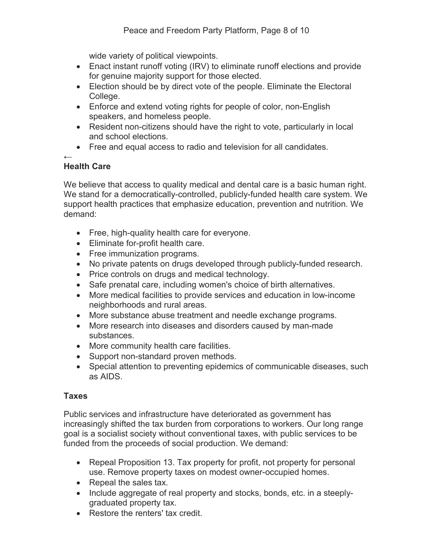wide variety of political viewpoints.

- Enact instant runoff voting (IRV) to eliminate runoff elections and provide for genuine majority support for those elected.
- Election should be by direct vote of the people. Eliminate the Electoral College.
- Enforce and extend voting rights for people of color, non-English speakers, and homeless people.
- Resident non-citizens should have the right to vote, particularly in local and school elections.
- Free and equal access to radio and television for all candidates.

### ← **Health Care**

We believe that access to quality medical and dental care is a basic human right. We stand for a democratically-controlled, publicly-funded health care system. We support health practices that emphasize education, prevention and nutrition. We demand:

- Free, high-quality health care for everyone.
- Eliminate for-profit health care.
- Free immunization programs.
- No private patents on drugs developed through publicly-funded research.
- Price controls on drugs and medical technology.
- Safe prenatal care, including women's choice of birth alternatives.
- More medical facilities to provide services and education in low-income neighborhoods and rural areas.
- More substance abuse treatment and needle exchange programs.
- More research into diseases and disorders caused by man-made substances.
- More community health care facilities.
- Support non-standard proven methods.
- Special attention to preventing epidemics of communicable diseases, such as AIDS.

# **Taxes**

Public services and infrastructure have deteriorated as government has increasingly shifted the tax burden from corporations to workers. Our long range goal is a socialist society without conventional taxes, with public services to be funded from the proceeds of social production. We demand:

- Repeal Proposition 13. Tax property for profit, not property for personal use. Remove property taxes on modest owner-occupied homes.
- Repeal the sales tax.
- Include aggregate of real property and stocks, bonds, etc. in a steeplygraduated property tax.
- Restore the renters' tax credit.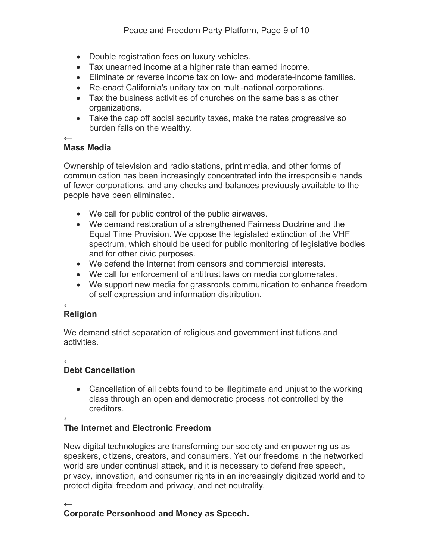- Double registration fees on luxury vehicles.
- Tax unearned income at a higher rate than earned income.
- Eliminate or reverse income tax on low- and moderate-income families.
- Re-enact California's unitary tax on multi-national corporations.
- Tax the business activities of churches on the same basis as other organizations.
- Take the cap off social security taxes, make the rates progressive so burden falls on the wealthy.

### ← **Mass Media**

Ownership of television and radio stations, print media, and other forms of communication has been increasingly concentrated into the irresponsible hands of fewer corporations, and any checks and balances previously available to the people have been eliminated.

- We call for public control of the public airwaves.
- We demand restoration of a strengthened Fairness Doctrine and the Equal Time Provision. We oppose the legislated extinction of the VHF spectrum, which should be used for public monitoring of legislative bodies and for other civic purposes.
- We defend the Internet from censors and commercial interests.
- We call for enforcement of antitrust laws on media conglomerates.
- We support new media for grassroots communication to enhance freedom of self expression and information distribution.

### ← **Religion**

We demand strict separation of religious and government institutions and activities.

←

# **Debt Cancellation**

 Cancellation of all debts found to be illegitimate and unjust to the working class through an open and democratic process not controlled by the creditors.

←

# **The Internet and Electronic Freedom**

New digital technologies are transforming our society and empowering us as speakers, citizens, creators, and consumers. Yet our freedoms in the networked world are under continual attack, and it is necessary to defend free speech, privacy, innovation, and consumer rights in an increasingly digitized world and to protect digital freedom and privacy, and net neutrality.

← **Corporate Personhood and Money as Speech.**